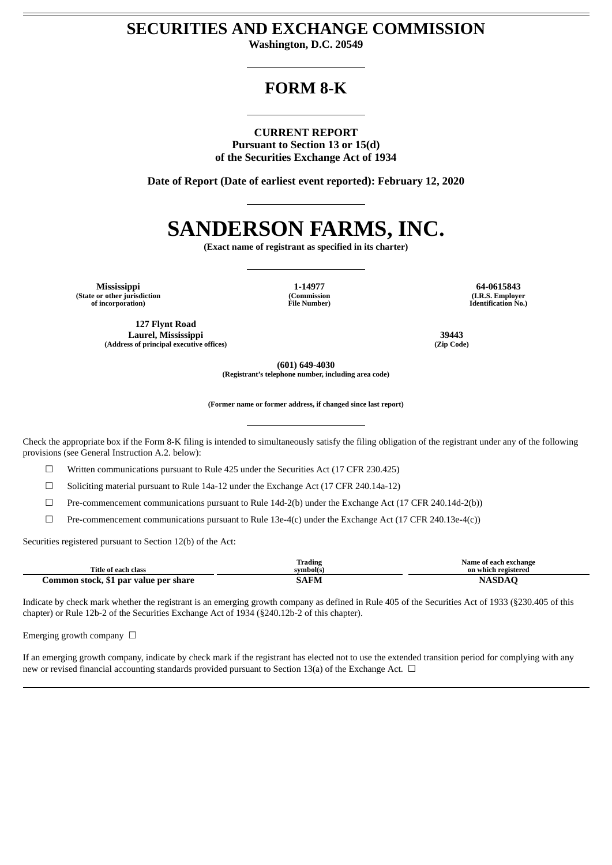# **SECURITIES AND EXCHANGE COMMISSION**

**Washington, D.C. 20549**

# **FORM 8-K**

**CURRENT REPORT Pursuant to Section 13 or 15(d) of the Securities Exchange Act of 1934**

**Date of Report (Date of earliest event reported): February 12, 2020**

# **SANDERSON FARMS, INC.**

**(Exact name of registrant as specified in its charter)**

**Mississippi 1-14977 64-0615843 (State or other jurisdiction of incorporation)**

**127 Flynt Road Laurel, Mississippi 39443 (Address of principal executive offices) (Zip Code)**

**(Commission File Number)**

**(I.R.S. Employer Identification No.)**

**(601) 649-4030**

**(Registrant's telephone number, including area code)**

**(Former name or former address, if changed since last report)**

Check the appropriate box if the Form 8-K filing is intended to simultaneously satisfy the filing obligation of the registrant under any of the following provisions (see General Instruction A.2. below):

 $\Box$  Written communications pursuant to Rule 425 under the Securities Act (17 CFR 230.425)

 $\Box$  Soliciting material pursuant to Rule 14a-12 under the Exchange Act (17 CFR 240.14a-12)

☐ Pre-commencement communications pursuant to Rule 14d-2(b) under the Exchange Act (17 CFR 240.14d-2(b))

☐ Pre-commencement communications pursuant to Rule 13e-4(c) under the Exchange Act (17 CFR 240.13e-4(c))

Securities registered pursuant to Section 12(b) of the Act:

|                                       | Trading   | Name of each exchange |
|---------------------------------------|-----------|-----------------------|
| Title of each class                   | svmbol(s` | on which registered   |
| Jommon stock, \$1 par value per share | 5AFM      |                       |

Indicate by check mark whether the registrant is an emerging growth company as defined in Rule 405 of the Securities Act of 1933 (§230.405 of this chapter) or Rule 12b-2 of the Securities Exchange Act of 1934 (§240.12b-2 of this chapter).

Emerging growth company  $\Box$ 

If an emerging growth company, indicate by check mark if the registrant has elected not to use the extended transition period for complying with any new or revised financial accounting standards provided pursuant to Section 13(a) of the Exchange Act.  $\Box$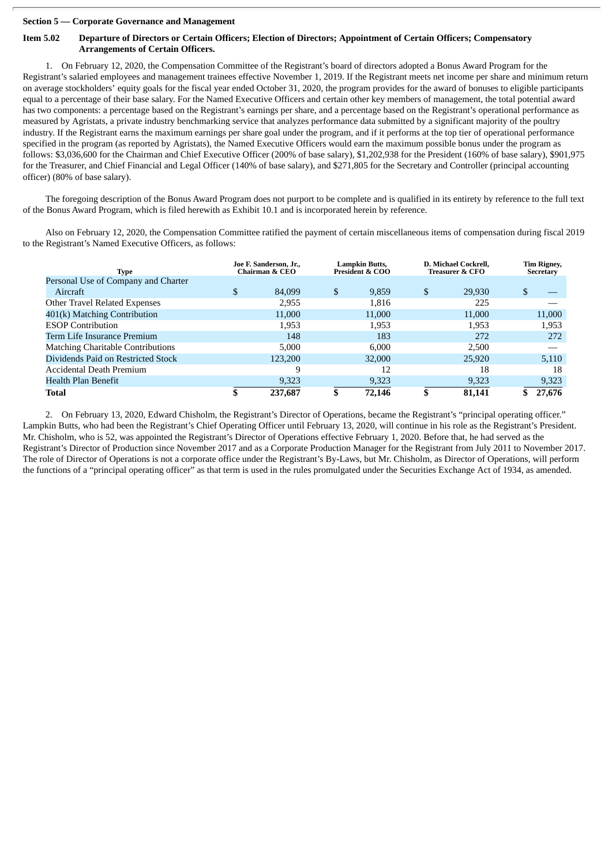#### **Section 5 — Corporate Governance and Management**

#### Item 5.02 Departure of Directors or Certain Officers: Election of Directors: Appointment of Certain Officers: Compensatory **Arrangements of Certain Officers.**

1. On February 12, 2020, the Compensation Committee of the Registrant's board of directors adopted a Bonus Award Program for the Registrant's salaried employees and management trainees effective November 1, 2019. If the Registrant meets net income per share and minimum return on average stockholders' equity goals for the fiscal year ended October 31, 2020, the program provides for the award of bonuses to eligible participants equal to a percentage of their base salary. For the Named Executive Officers and certain other key members of management, the total potential award has two components: a percentage based on the Registrant's earnings per share, and a percentage based on the Registrant's operational performance as measured by Agristats, a private industry benchmarking service that analyzes performance data submitted by a significant majority of the poultry industry. If the Registrant earns the maximum earnings per share goal under the program, and if it performs at the top tier of operational performance specified in the program (as reported by Agristats), the Named Executive Officers would earn the maximum possible bonus under the program as follows: \$3,036,600 for the Chairman and Chief Executive Officer (200% of base salary), \$1,202,938 for the President (160% of base salary), \$901,975 for the Treasurer, and Chief Financial and Legal Officer (140% of base salary), and \$271,805 for the Secretary and Controller (principal accounting officer) (80% of base salary).

The foregoing description of the Bonus Award Program does not purport to be complete and is qualified in its entirety by reference to the full text of the Bonus Award Program, which is filed herewith as Exhibit 10.1 and is incorporated herein by reference.

Also on February 12, 2020, the Compensation Committee ratified the payment of certain miscellaneous items of compensation during fiscal 2019 to the Registrant's Named Executive Officers, as follows:

| <b>Type</b>                              |   | Joe F. Sanderson, Jr.,<br>Chairman & CEO | <b>Lampkin Butts,</b><br><b>President &amp; COO</b> |   | D. Michael Cockrell,<br><b>Treasurer &amp; CFO</b> | Tim Rigney,<br>Secretary |
|------------------------------------------|---|------------------------------------------|-----------------------------------------------------|---|----------------------------------------------------|--------------------------|
| Personal Use of Company and Charter      |   |                                          |                                                     |   |                                                    |                          |
| Aircraft                                 | S | 84,099                                   | \$<br>9,859                                         | S | 29,930                                             | \$.                      |
| Other Travel Related Expenses            |   | 2,955                                    | 1,816                                               |   | 225                                                |                          |
| 401(k) Matching Contribution             |   | 11,000                                   | 11,000                                              |   | 11,000                                             | 11,000                   |
| <b>ESOP Contribution</b>                 |   | 1,953                                    | 1,953                                               |   | 1,953                                              | 1,953                    |
| Term Life Insurance Premium              |   | 148                                      | 183                                                 |   | 272                                                | 272                      |
| <b>Matching Charitable Contributions</b> |   | 5,000                                    | 6,000                                               |   | 2,500                                              |                          |
| Dividends Paid on Restricted Stock       |   | 123,200                                  | 32,000                                              |   | 25,920                                             | 5,110                    |
| Accidental Death Premium                 |   | 9                                        | 12                                                  |   | 18                                                 | 18                       |
| Health Plan Benefit                      |   | 9,323                                    | 9,323                                               |   | 9,323                                              | 9,323                    |
| <b>Total</b>                             |   | 237,687                                  | 72,146                                              |   | 81,141                                             | 27,676                   |

2. On February 13, 2020, Edward Chisholm, the Registrant's Director of Operations, became the Registrant's "principal operating officer." Lampkin Butts, who had been the Registrant's Chief Operating Officer until February 13, 2020, will continue in his role as the Registrant's President. Mr. Chisholm, who is 52, was appointed the Registrant's Director of Operations effective February 1, 2020. Before that, he had served as the Registrant's Director of Production since November 2017 and as a Corporate Production Manager for the Registrant from July 2011 to November 2017. The role of Director of Operations is not a corporate office under the Registrant's By-Laws, but Mr. Chisholm, as Director of Operations, will perform the functions of a "principal operating officer" as that term is used in the rules promulgated under the Securities Exchange Act of 1934, as amended.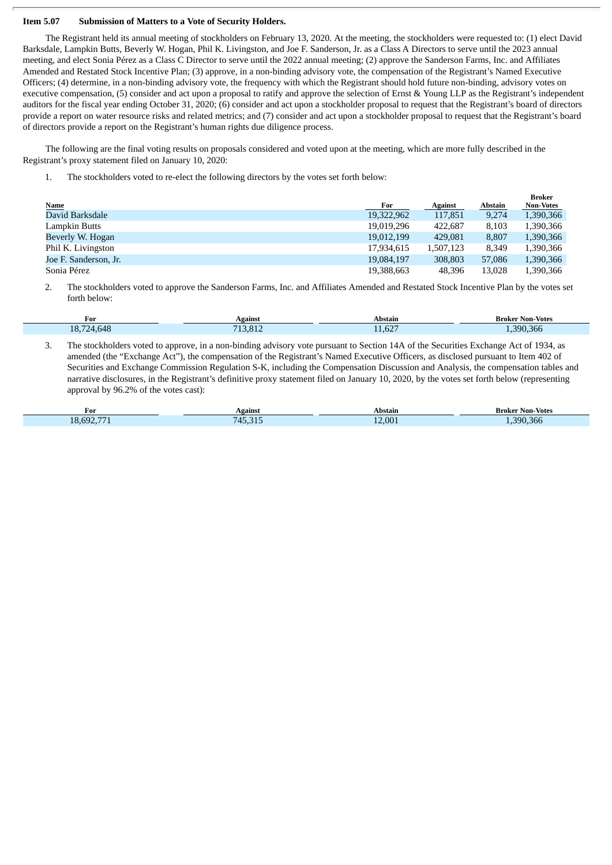#### **Item 5.07 Submission of Matters to a Vote of Security Holders.**

The Registrant held its annual meeting of stockholders on February 13, 2020. At the meeting, the stockholders were requested to: (1) elect David Barksdale, Lampkin Butts, Beverly W. Hogan, Phil K. Livingston, and Joe F. Sanderson, Jr. as a Class A Directors to serve until the 2023 annual meeting, and elect Sonia Pérez as a Class C Director to serve until the 2022 annual meeting; (2) approve the Sanderson Farms, Inc. and Affiliates Amended and Restated Stock Incentive Plan; (3) approve, in a non-binding advisory vote, the compensation of the Registrant's Named Executive Officers; (4) determine, in a non-binding advisory vote, the frequency with which the Registrant should hold future non-binding, advisory votes on executive compensation, (5) consider and act upon a proposal to ratify and approve the selection of Ernst & Young LLP as the Registrant's independent auditors for the fiscal year ending October 31, 2020; (6) consider and act upon a stockholder proposal to request that the Registrant's board of directors provide a report on water resource risks and related metrics; and (7) consider and act upon a stockholder proposal to request that the Registrant's board of directors provide a report on the Registrant's human rights due diligence process.

The following are the final voting results on proposals considered and voted upon at the meeting, which are more fully described in the Registrant's proxy statement filed on January 10, 2020:

1. The stockholders voted to re-elect the following directors by the votes set forth below:

|                       |            |                |         | <b>Broker</b>    |
|-----------------------|------------|----------------|---------|------------------|
| <b>Name</b>           | For        | <b>Against</b> | Abstain | <b>Non-Votes</b> |
| David Barksdale       | 19,322,962 | 117,851        | 9,274   | 1,390,366        |
| Lampkin Butts         | 19,019,296 | 422,687        | 8.103   | 1,390,366        |
| Beverly W. Hogan      | 19,012,199 | 429.081        | 8.807   | 1,390,366        |
| Phil K. Livingston    | 17,934,615 | 1,507,123      | 8.349   | 1,390,366        |
| Joe F. Sanderson, Jr. | 19,084,197 | 308,803        | 57,086  | 1,390,366        |
| Sonia Pérez           | 19,388,663 | 48,396         | 13.028  | 1,390,366        |

2. The stockholders voted to approve the Sanderson Farms, Inc. and Affiliates Amended and Restated Stock Incentive Plan by the votes set forth below:

| For        | Against | Abstain      | <b>Broker Non-Votes</b> |
|------------|---------|--------------|-------------------------|
| 18,724,648 | 713,812 | CDF<br>11,02 | 390,366                 |

3. The stockholders voted to approve, in a non-binding advisory vote pursuant to Section 14A of the Securities Exchange Act of 1934, as amended (the "Exchange Act"), the compensation of the Registrant's Named Executive Officers, as disclosed pursuant to Item 402 of Securities and Exchange Commission Regulation S-K, including the Compensation Discussion and Analysis, the compensation tables and narrative disclosures, in the Registrant's definitive proxy statement filed on January 10, 2020, by the votes set forth below (representing approval by 96.2% of the votes cast):

| For           | Against | Abstain | <b>Broker Non-Votes</b> |
|---------------|---------|---------|-------------------------|
| 18.692<br>$-$ | 715     | 12.001  | .390.366                |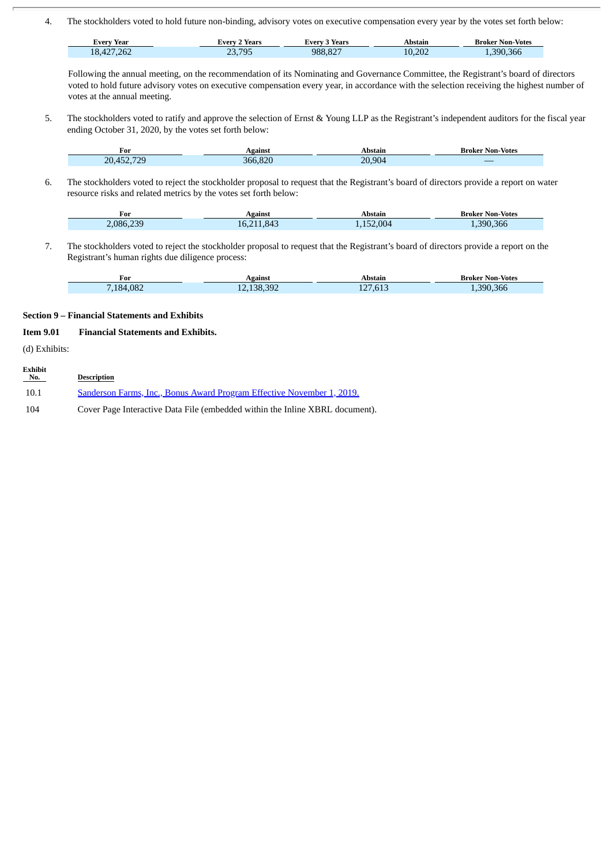4. The stockholders voted to hold future non-binding, advisory votes on executive compensation every year by the votes set forth below:

| Every Year | י Years<br>∠verv `  | Years<br><b>Every</b> | Abstain | <b>Broker Non-Votes</b> |
|------------|---------------------|-----------------------|---------|-------------------------|
| 18,427,262 | 705<br>רר<br>20,790 | 988.827               | 10.202  | 1,390,366               |

Following the annual meeting, on the recommendation of its Nominating and Governance Committee, the Registrant's board of directors voted to hold future advisory votes on executive compensation every year, in accordance with the selection receiving the highest number of votes at the annual meeting.

5. The stockholders voted to ratify and approve the selection of Ernst & Young LLP as the Registrant's independent auditors for the fiscal year ending October 31, 2020, by the votes set forth below:

| For        | Against | Abstain | <b>Broker Non-Votes</b> |
|------------|---------|---------|-------------------------|
| 20.452.729 | 366.820 | 20,904  |                         |

6. The stockholders voted to reject the stockholder proposal to request that the Registrant's board of directors provide a report on water resource risks and related metrics by the votes set forth below:

| $\mathbf{r}$<br>For | Agains       | Abstaiı   | <b>Non-Votes</b><br>Broker |
|---------------------|--------------|-----------|----------------------------|
| 230<br>2.086<br>--  | X۷<br>h<br>. | .004<br>- | 366<br>9۹۸                 |

7. The stockholders voted to reject the stockholder proposal to request that the Registrant's board of directors provide a report on the Registrant's human rights due diligence process:

| -<br>For      | Against | Abstain                      |          |
|---------------|---------|------------------------------|----------|
| .082<br>7184. | 38.392  | $C_{1}$<br>AB<br>.to.,<br>∸∸ | .390.366 |

#### **Section 9 – Financial Statements and Exhibits**

## **Item 9.01 Financial Statements and Exhibits.**

(d) Exhibits:

| Exhibit<br>No. | <b>Description</b>                                                           |
|----------------|------------------------------------------------------------------------------|
| 10.1           | Sanderson Farms, Inc., Bonus Award Program Effective November 1, 2019.       |
| 104            | Cover Page Interactive Data File (embedded within the Inline XBRL document). |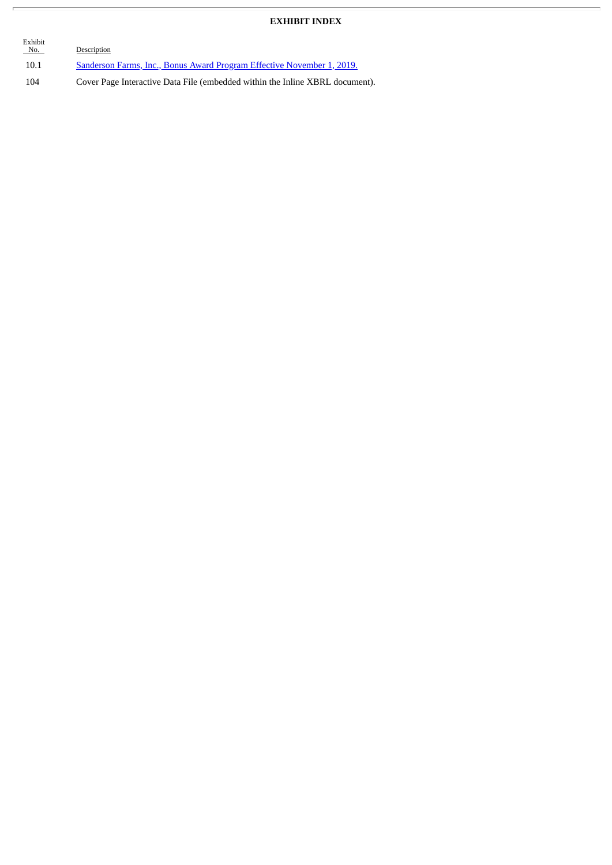# **EXHIBIT INDEX**

| Exhibit<br>No. | Description                                                                  |
|----------------|------------------------------------------------------------------------------|
| 10.1           | Sanderson Farms, Inc., Bonus Award Program Effective November 1, 2019.       |
| 104            | Cover Page Interactive Data File (embedded within the Inline XBRL document). |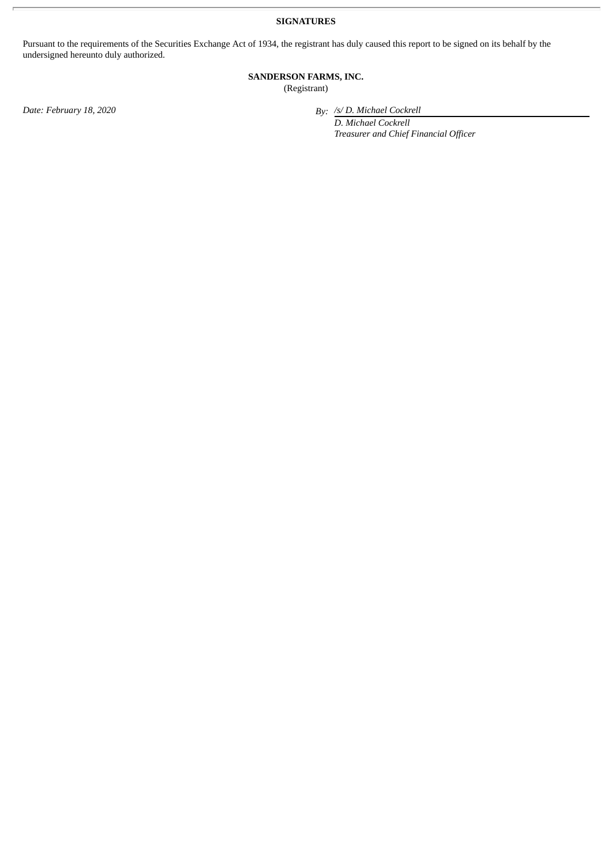**SIGNATURES**

Pursuant to the requirements of the Securities Exchange Act of 1934, the registrant has duly caused this report to be signed on its behalf by the undersigned hereunto duly authorized.

# **SANDERSON FARMS, INC.**

(Registrant)

*Date: February 18, 2020 By: /s/ D. Michael Cockrell*

*D. Michael Cockrell Treasurer and Chief Financial Officer*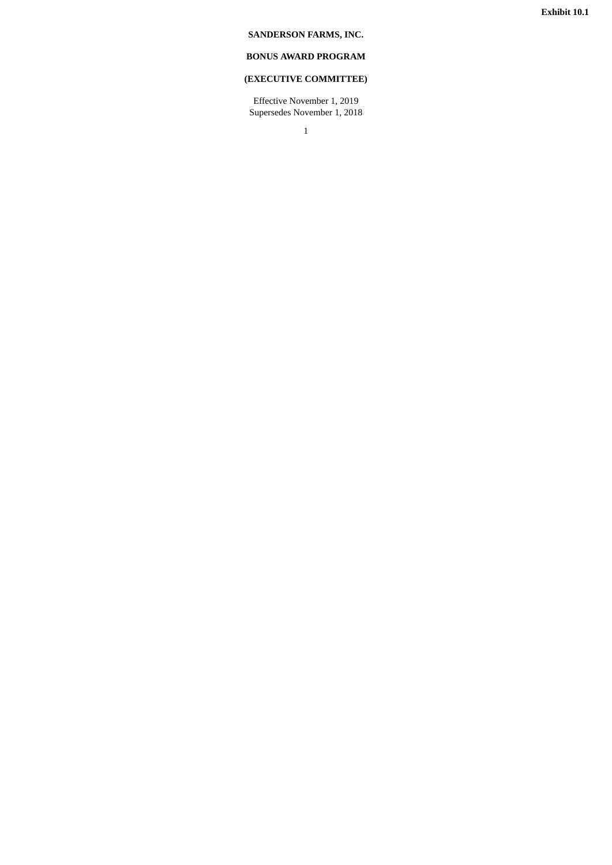## <span id="page-6-0"></span>**SANDERSON FARMS, INC.**

# **BONUS AWARD PROGRAM**

# **(EXECUTIVE COMMITTEE)**

Effective November 1, 2019 Supersedes November 1, 2018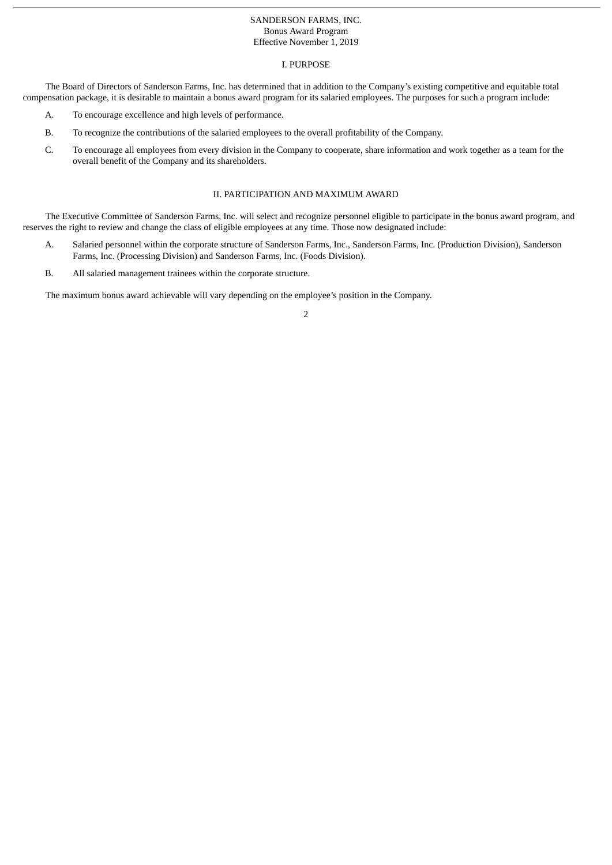#### SANDERSON FARMS, INC. Bonus Award Program Effective November 1, 2019

#### I. PURPOSE

The Board of Directors of Sanderson Farms, Inc. has determined that in addition to the Company's existing competitive and equitable total compensation package, it is desirable to maintain a bonus award program for its salaried employees. The purposes for such a program include:

- A. To encourage excellence and high levels of performance.
- B. To recognize the contributions of the salaried employees to the overall profitability of the Company.
- C. To encourage all employees from every division in the Company to cooperate, share information and work together as a team for the overall benefit of the Company and its shareholders.

#### II. PARTICIPATION AND MAXIMUM AWARD

The Executive Committee of Sanderson Farms, Inc. will select and recognize personnel eligible to participate in the bonus award program, and reserves the right to review and change the class of eligible employees at any time. Those now designated include:

- A. Salaried personnel within the corporate structure of Sanderson Farms, Inc., Sanderson Farms, Inc. (Production Division), Sanderson Farms, Inc. (Processing Division) and Sanderson Farms, Inc. (Foods Division).
- B. All salaried management trainees within the corporate structure.

The maximum bonus award achievable will vary depending on the employee's position in the Company.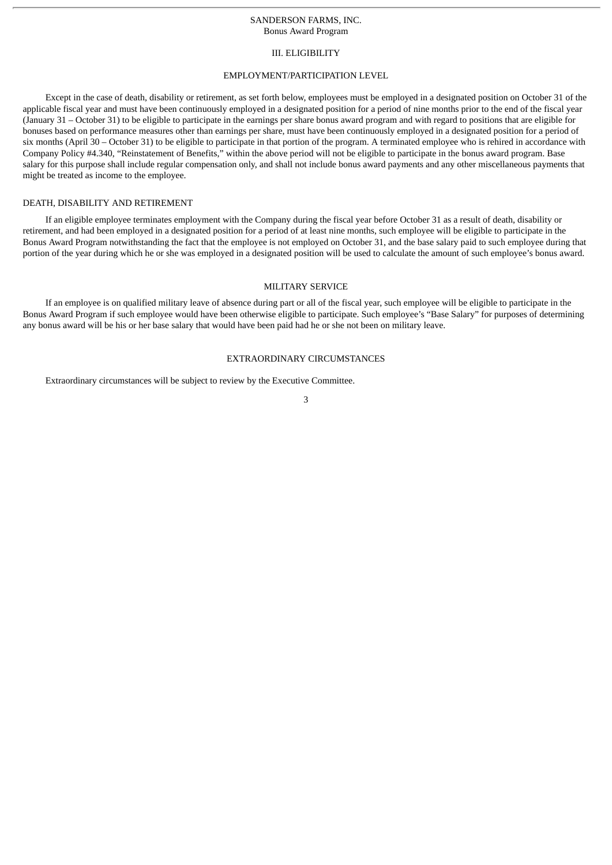#### III. ELIGIBILITY

#### EMPLOYMENT/PARTICIPATION LEVEL

Except in the case of death, disability or retirement, as set forth below, employees must be employed in a designated position on October 31 of the applicable fiscal year and must have been continuously employed in a designated position for a period of nine months prior to the end of the fiscal year (January 31 – October 31) to be eligible to participate in the earnings per share bonus award program and with regard to positions that are eligible for bonuses based on performance measures other than earnings per share, must have been continuously employed in a designated position for a period of six months (April 30 – October 31) to be eligible to participate in that portion of the program. A terminated employee who is rehired in accordance with Company Policy #4.340, "Reinstatement of Benefits," within the above period will not be eligible to participate in the bonus award program. Base salary for this purpose shall include regular compensation only, and shall not include bonus award payments and any other miscellaneous payments that might be treated as income to the employee.

#### DEATH, DISABILITY AND RETIREMENT

If an eligible employee terminates employment with the Company during the fiscal year before October 31 as a result of death, disability or retirement, and had been employed in a designated position for a period of at least nine months, such employee will be eligible to participate in the Bonus Award Program notwithstanding the fact that the employee is not employed on October 31, and the base salary paid to such employee during that portion of the year during which he or she was employed in a designated position will be used to calculate the amount of such employee's bonus award.

#### MILITARY SERVICE

If an employee is on qualified military leave of absence during part or all of the fiscal year, such employee will be eligible to participate in the Bonus Award Program if such employee would have been otherwise eligible to participate. Such employee's "Base Salary" for purposes of determining any bonus award will be his or her base salary that would have been paid had he or she not been on military leave.

## EXTRAORDINARY CIRCUMSTANCES

Extraordinary circumstances will be subject to review by the Executive Committee.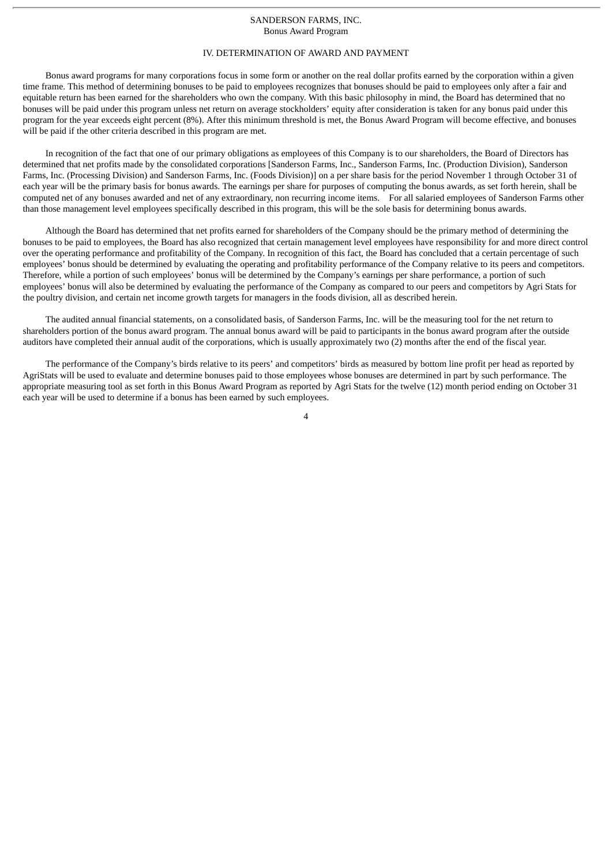### IV. DETERMINATION OF AWARD AND PAYMENT

Bonus award programs for many corporations focus in some form or another on the real dollar profits earned by the corporation within a given time frame. This method of determining bonuses to be paid to employees recognizes that bonuses should be paid to employees only after a fair and equitable return has been earned for the shareholders who own the company. With this basic philosophy in mind, the Board has determined that no bonuses will be paid under this program unless net return on average stockholders' equity after consideration is taken for any bonus paid under this program for the year exceeds eight percent (8%). After this minimum threshold is met, the Bonus Award Program will become effective, and bonuses will be paid if the other criteria described in this program are met.

In recognition of the fact that one of our primary obligations as employees of this Company is to our shareholders, the Board of Directors has determined that net profits made by the consolidated corporations [Sanderson Farms, Inc., Sanderson Farms, Inc. (Production Division), Sanderson Farms, Inc. (Processing Division) and Sanderson Farms, Inc. (Foods Division)] on a per share basis for the period November 1 through October 31 of each year will be the primary basis for bonus awards. The earnings per share for purposes of computing the bonus awards, as set forth herein, shall be computed net of any bonuses awarded and net of any extraordinary, non recurring income items. For all salaried employees of Sanderson Farms other than those management level employees specifically described in this program, this will be the sole basis for determining bonus awards.

Although the Board has determined that net profits earned for shareholders of the Company should be the primary method of determining the bonuses to be paid to employees, the Board has also recognized that certain management level employees have responsibility for and more direct control over the operating performance and profitability of the Company. In recognition of this fact, the Board has concluded that a certain percentage of such employees' bonus should be determined by evaluating the operating and profitability performance of the Company relative to its peers and competitors. Therefore, while a portion of such employees' bonus will be determined by the Company's earnings per share performance, a portion of such employees' bonus will also be determined by evaluating the performance of the Company as compared to our peers and competitors by Agri Stats for the poultry division, and certain net income growth targets for managers in the foods division, all as described herein.

The audited annual financial statements, on a consolidated basis, of Sanderson Farms, Inc. will be the measuring tool for the net return to shareholders portion of the bonus award program. The annual bonus award will be paid to participants in the bonus award program after the outside auditors have completed their annual audit of the corporations, which is usually approximately two (2) months after the end of the fiscal year.

The performance of the Company's birds relative to its peers' and competitors' birds as measured by bottom line profit per head as reported by AgriStats will be used to evaluate and determine bonuses paid to those employees whose bonuses are determined in part by such performance. The appropriate measuring tool as set forth in this Bonus Award Program as reported by Agri Stats for the twelve (12) month period ending on October 31 each year will be used to determine if a bonus has been earned by such employees.

 $\overline{A}$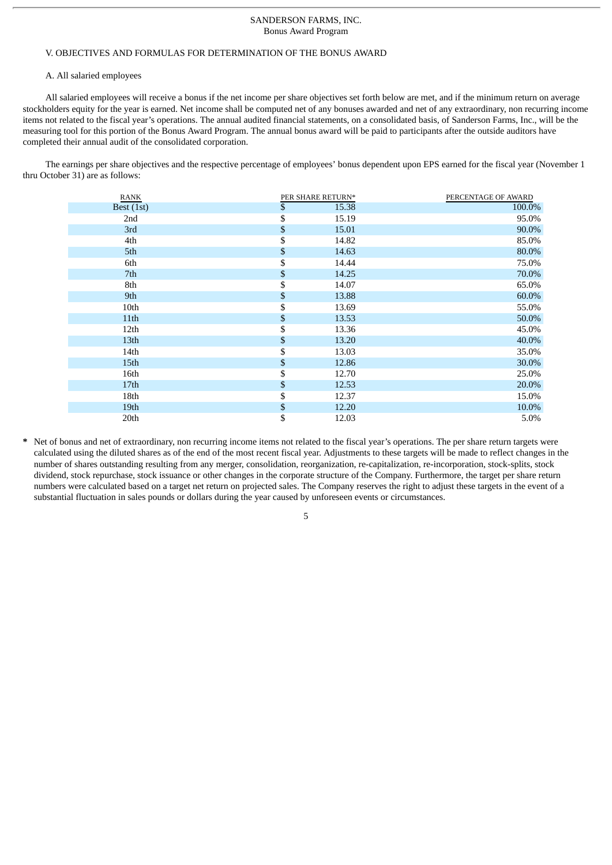#### V. OBJECTIVES AND FORMULAS FOR DETERMINATION OF THE BONUS AWARD

#### A. All salaried employees

All salaried employees will receive a bonus if the net income per share objectives set forth below are met, and if the minimum return on average stockholders equity for the year is earned. Net income shall be computed net of any bonuses awarded and net of any extraordinary, non recurring income items not related to the fiscal year's operations. The annual audited financial statements, on a consolidated basis, of Sanderson Farms, Inc., will be the measuring tool for this portion of the Bonus Award Program. The annual bonus award will be paid to participants after the outside auditors have completed their annual audit of the consolidated corporation.

The earnings per share objectives and the respective percentage of employees' bonus dependent upon EPS earned for the fiscal year (November 1 thru October 31) are as follows:

| RANK             | PER SHARE RETURN* | PERCENTAGE OF AWARD |
|------------------|-------------------|---------------------|
| Best (1st)       | \$<br>15.38       | 100.0%              |
| 2nd              | \$<br>15.19       | 95.0%               |
| 3rd              | \$<br>15.01       | 90.0%               |
| 4th              | \$<br>14.82       | 85.0%               |
| 5th              | \$<br>14.63       | 80.0%               |
| 6th              | \$<br>14.44       | 75.0%               |
| 7th              | \$<br>14.25       | 70.0%               |
| 8th              | \$<br>14.07       | 65.0%               |
| 9th              | \$<br>13.88       | 60.0%               |
| 10th             | \$<br>13.69       | 55.0%               |
| 11th             | \$<br>13.53       | 50.0%               |
| 12 <sub>th</sub> | \$<br>13.36       | 45.0%               |
| 13th             | \$<br>13.20       | 40.0%               |
| 14 <sub>th</sub> | \$<br>13.03       | 35.0%               |
| 15th             | \$<br>12.86       | 30.0%               |
| 16th             | \$<br>12.70       | 25.0%               |
| 17 <sub>th</sub> | \$<br>12.53       | 20.0%               |
| 18th             | \$<br>12.37       | 15.0%               |
| 19th             | \$<br>12.20       | 10.0%               |
| 20th             | \$<br>12.03       | 5.0%                |

**\*** Net of bonus and net of extraordinary, non recurring income items not related to the fiscal year's operations. The per share return targets were calculated using the diluted shares as of the end of the most recent fiscal year. Adjustments to these targets will be made to reflect changes in the number of shares outstanding resulting from any merger, consolidation, reorganization, re-capitalization, re-incorporation, stock-splits, stock dividend, stock repurchase, stock issuance or other changes in the corporate structure of the Company. Furthermore, the target per share return numbers were calculated based on a target net return on projected sales. The Company reserves the right to adjust these targets in the event of a substantial fluctuation in sales pounds or dollars during the year caused by unforeseen events or circumstances.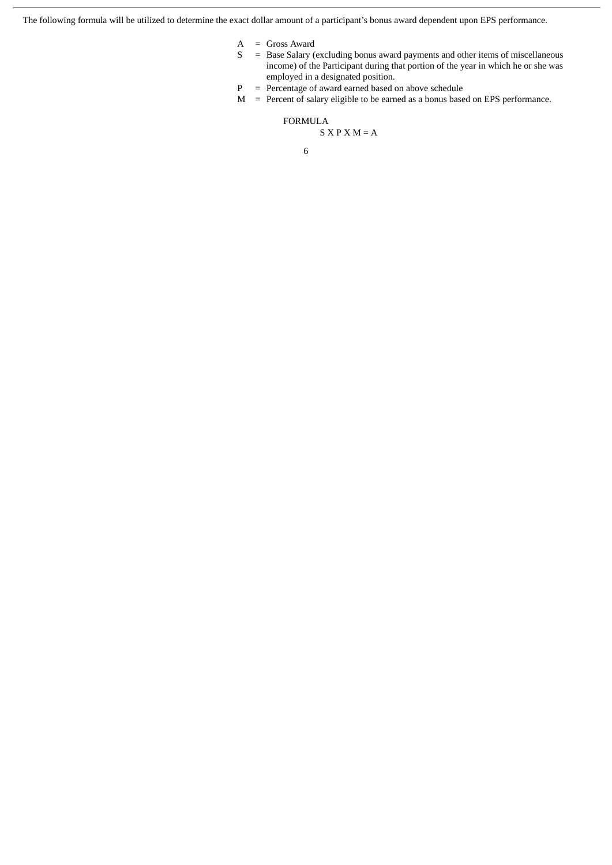The following formula will be utilized to determine the exact dollar amount of a participant's bonus award dependent upon EPS performance.

- A = Gross Award
- S = Base Salary (excluding bonus award payments and other items of miscellaneous income) of the Participant during that portion of the year in which he or she was employed in a designated position.
- $P = Percentage of award earned based on above schedule$
- M = Percent of salary eligible to be earned as a bonus based on EPS performance.

FORMULA

$$
S X P X M = A
$$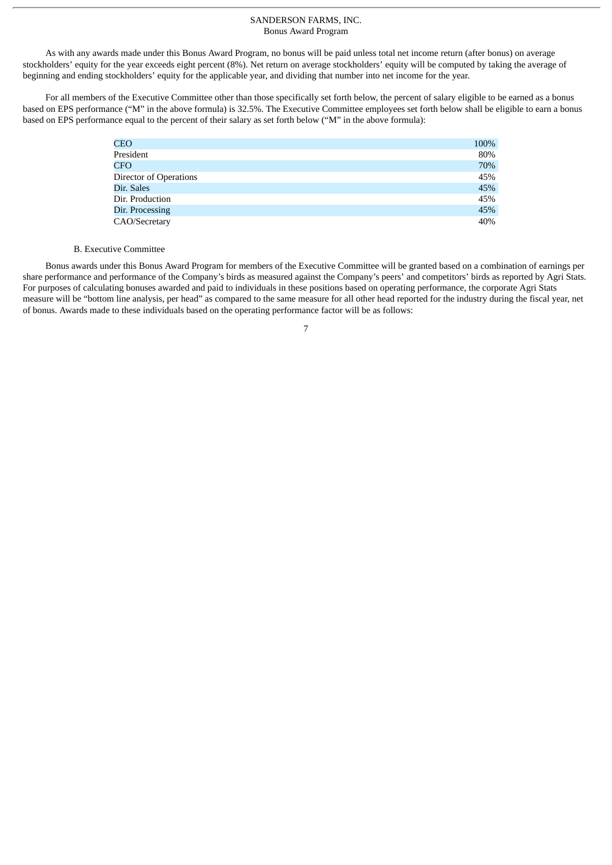As with any awards made under this Bonus Award Program, no bonus will be paid unless total net income return (after bonus) on average stockholders' equity for the year exceeds eight percent (8%). Net return on average stockholders' equity will be computed by taking the average of beginning and ending stockholders' equity for the applicable year, and dividing that number into net income for the year.

For all members of the Executive Committee other than those specifically set forth below, the percent of salary eligible to be earned as a bonus based on EPS performance ("M" in the above formula) is 32.5%. The Executive Committee employees set forth below shall be eligible to earn a bonus based on EPS performance equal to the percent of their salary as set forth below ("M" in the above formula):

| CEO                    | 100% |
|------------------------|------|
| President              | 80%  |
| CFO                    | 70%  |
| Director of Operations | 45%  |
| Dir. Sales             | 45%  |
| Dir. Production        | 45%  |
| Dir. Processing        | 45%  |
| CAO/Secretary          | 40%  |

#### B. Executive Committee

Bonus awards under this Bonus Award Program for members of the Executive Committee will be granted based on a combination of earnings per share performance and performance of the Company's birds as measured against the Company's peers' and competitors' birds as reported by Agri Stats. For purposes of calculating bonuses awarded and paid to individuals in these positions based on operating performance, the corporate Agri Stats measure will be "bottom line analysis, per head" as compared to the same measure for all other head reported for the industry during the fiscal year, net of bonus. Awards made to these individuals based on the operating performance factor will be as follows: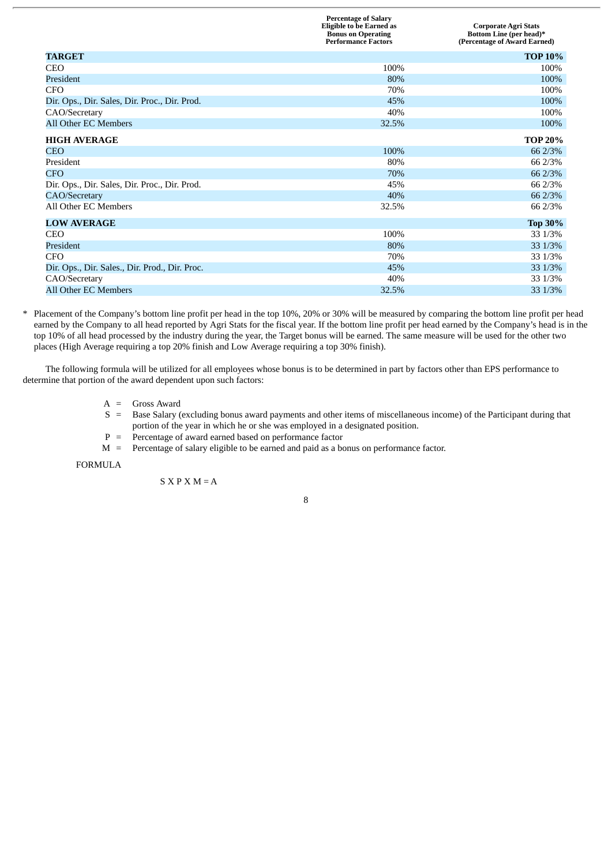|                                                | <b>Percentage of Salary</b><br><b>Eligible to be Earned as</b><br><b>Bonus on Operating</b><br><b>Performance Factors</b> | <b>Corporate Agri Stats</b><br><b>Bottom Line (per head)*</b><br>(Percentage of Award Earned) |
|------------------------------------------------|---------------------------------------------------------------------------------------------------------------------------|-----------------------------------------------------------------------------------------------|
| <b>TARGET</b>                                  |                                                                                                                           | <b>TOP 10%</b>                                                                                |
| <b>CEO</b>                                     | 100%                                                                                                                      | 100%                                                                                          |
| President                                      | 80%                                                                                                                       | 100%                                                                                          |
| <b>CFO</b>                                     | 70%                                                                                                                       | 100%                                                                                          |
| Dir. Ops., Dir. Sales, Dir. Proc., Dir. Prod.  | 45%                                                                                                                       | 100%                                                                                          |
| CAO/Secretary                                  | 40%                                                                                                                       | 100%                                                                                          |
| All Other EC Members                           | 32.5%                                                                                                                     | 100%                                                                                          |
| <b>HIGH AVERAGE</b>                            |                                                                                                                           | <b>TOP 20%</b>                                                                                |
| CEO                                            | 100%                                                                                                                      | 66 2/3%                                                                                       |
| President                                      | 80%                                                                                                                       | 66 2/3%                                                                                       |
| CFO                                            | 70%                                                                                                                       | 66 2/3%                                                                                       |
| Dir. Ops., Dir. Sales, Dir. Proc., Dir. Prod.  | 45%                                                                                                                       | 66 2/3%                                                                                       |
| <b>CAO/Secretary</b>                           | 40%                                                                                                                       | 66 2/3%                                                                                       |
| All Other EC Members                           | 32.5%                                                                                                                     | 66 2/3%                                                                                       |
| <b>LOW AVERAGE</b>                             |                                                                                                                           | <b>Top 30%</b>                                                                                |
| <b>CEO</b>                                     | 100%                                                                                                                      | 33 1/3%                                                                                       |
| President                                      | 80%                                                                                                                       | 33 1/3%                                                                                       |
| <b>CFO</b>                                     | 70%                                                                                                                       | 33 1/3%                                                                                       |
| Dir. Ops., Dir. Sales., Dir. Prod., Dir. Proc. | 45%                                                                                                                       | 33 1/3%                                                                                       |
| CAO/Secretary                                  | 40%                                                                                                                       | 33 1/3%                                                                                       |
| All Other EC Members                           | 32.5%                                                                                                                     | 33 1/3%                                                                                       |

\* Placement of the Company's bottom line profit per head in the top 10%, 20% or 30% will be measured by comparing the bottom line profit per head earned by the Company to all head reported by Agri Stats for the fiscal year. If the bottom line profit per head earned by the Company's head is in the top 10% of all head processed by the industry during the year, the Target bonus will be earned. The same measure will be used for the other two places (High Average requiring a top 20% finish and Low Average requiring a top 30% finish).

The following formula will be utilized for all employees whose bonus is to be determined in part by factors other than EPS performance to determine that portion of the award dependent upon such factors:

- $A =$  Gross Award
- S = Base Salary (excluding bonus award payments and other items of miscellaneous income) of the Participant during that portion of the year in which he or she was employed in a designated position.
- $P =$  Percentage of award earned based on performance factor
- M = Percentage of salary eligible to be earned and paid as a bonus on performance factor.

FORMULA

 $S X P X M = A$